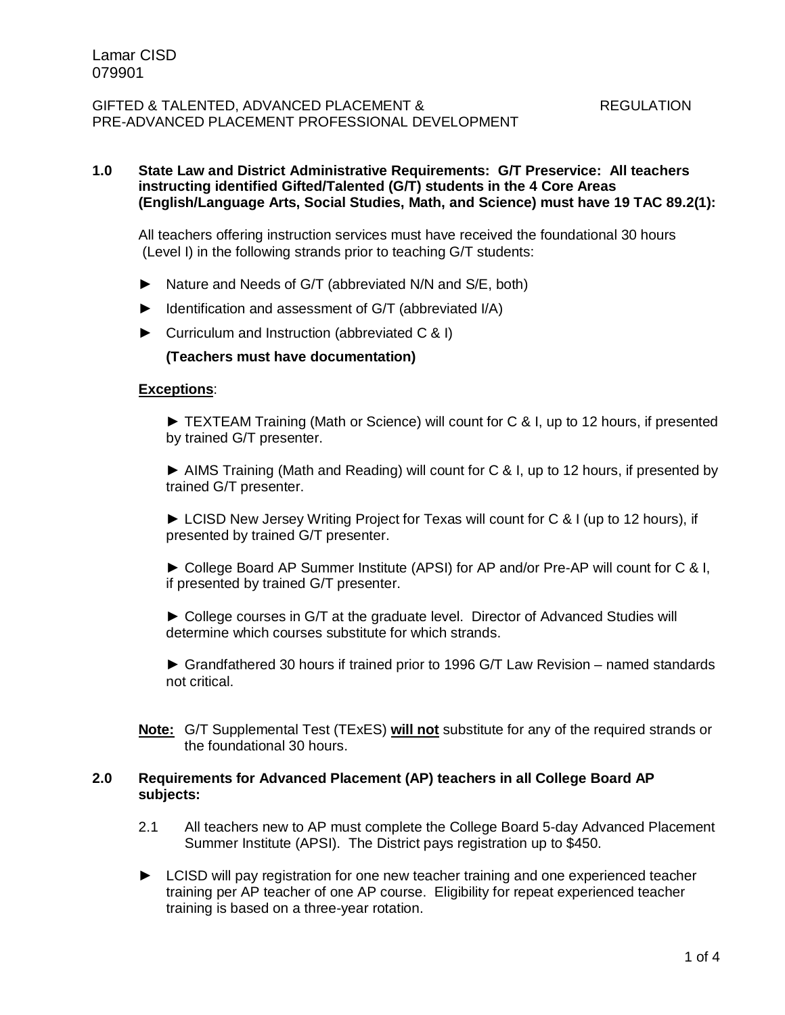## **1.0 State Law and District Administrative Requirements: G/T Preservice: All teachers instructing identified Gifted/Talented (G/T) students in the 4 Core Areas (English/Language Arts, Social Studies, Math, and Science) must have 19 TAC 89.2(1):**

All teachers offering instruction services must have received the foundational 30 hours (Level I) in the following strands prior to teaching G/T students:

- ► Nature and Needs of G/T (abbreviated N/N and S/E, both)
- ► Identification and assessment of G/T (abbreviated I/A)
- ► Curriculum and Instruction (abbreviated C & I)

### **(Teachers must have documentation)**

#### **Exceptions**:

► TEXTEAM Training (Math or Science) will count for C & I, up to 12 hours, if presented by trained G/T presenter.

► AIMS Training (Math and Reading) will count for C & I, up to 12 hours, if presented by trained G/T presenter.

► LCISD New Jersey Writing Project for Texas will count for C & I (up to 12 hours), if presented by trained G/T presenter.

► College Board AP Summer Institute (APSI) for AP and/or Pre-AP will count for C & I, if presented by trained G/T presenter.

► College courses in G/T at the graduate level. Director of Advanced Studies will determine which courses substitute for which strands.

► Grandfathered 30 hours if trained prior to 1996 G/T Law Revision – named standards not critical.

**Note:** G/T Supplemental Test (TExES) **will not** substitute for any of the required strands or the foundational 30 hours.

#### **2.0 Requirements for Advanced Placement (AP) teachers in all College Board AP subjects:**

- 2.1 All teachers new to AP must complete the College Board 5-day Advanced Placement Summer Institute (APSI). The District pays registration up to \$450.
- ► LCISD will pay registration for one new teacher training and one experienced teacher training per AP teacher of one AP course. Eligibility for repeat experienced teacher training is based on a three-year rotation.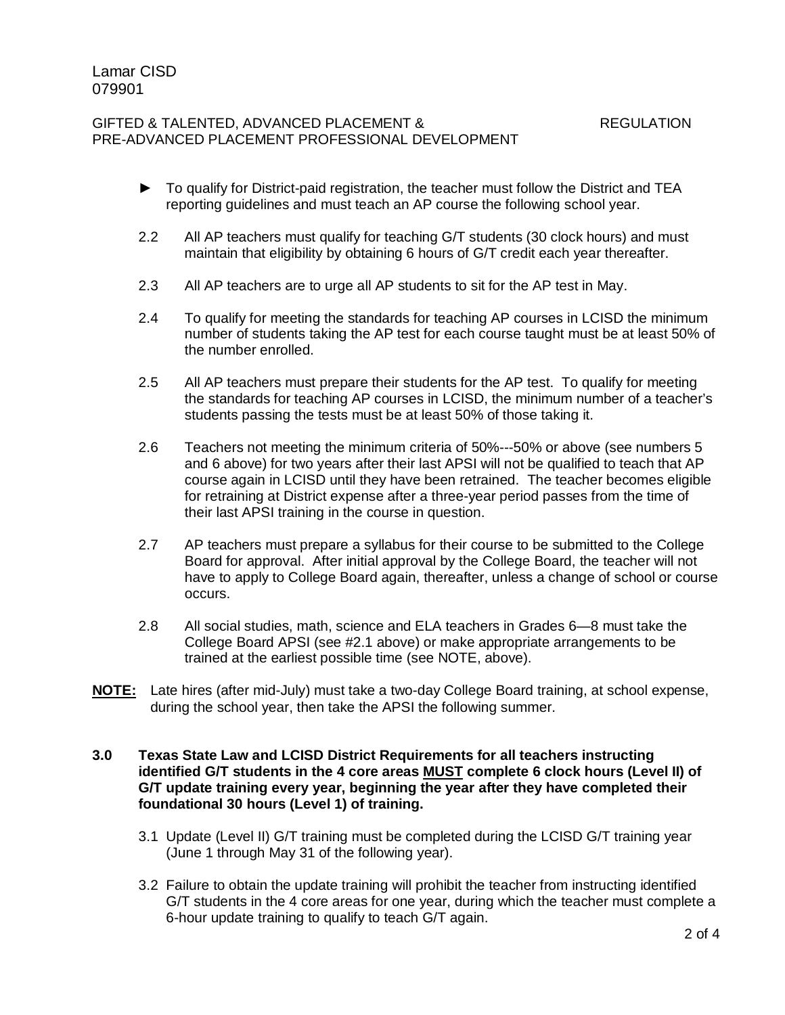- ► To qualify for District-paid registration, the teacher must follow the District and TEA reporting guidelines and must teach an AP course the following school year.
- 2.2 All AP teachers must qualify for teaching G/T students (30 clock hours) and must maintain that eligibility by obtaining 6 hours of G/T credit each year thereafter.
- 2.3 All AP teachers are to urge all AP students to sit for the AP test in May.
- 2.4 To qualify for meeting the standards for teaching AP courses in LCISD the minimum number of students taking the AP test for each course taught must be at least 50% of the number enrolled.
- 2.5 All AP teachers must prepare their students for the AP test. To qualify for meeting the standards for teaching AP courses in LCISD, the minimum number of a teacher's students passing the tests must be at least 50% of those taking it.
- 2.6 Teachers not meeting the minimum criteria of 50%---50% or above (see numbers 5 and 6 above) for two years after their last APSI will not be qualified to teach that AP course again in LCISD until they have been retrained. The teacher becomes eligible for retraining at District expense after a three-year period passes from the time of their last APSI training in the course in question.
- 2.7 AP teachers must prepare a syllabus for their course to be submitted to the College Board for approval. After initial approval by the College Board, the teacher will not have to apply to College Board again, thereafter, unless a change of school or course occurs.
- 2.8 All social studies, math, science and ELA teachers in Grades 6—8 must take the College Board APSI (see #2.1 above) or make appropriate arrangements to be trained at the earliest possible time (see NOTE, above).
- **NOTE:** Late hires (after mid-July) must take a two-day College Board training, at school expense, during the school year, then take the APSI the following summer.

### **3.0 Texas State Law and LCISD District Requirements for all teachers instructing identified G/T students in the 4 core areas MUST complete 6 clock hours (Level II) of G/T update training every year, beginning the year after they have completed their foundational 30 hours (Level 1) of training.**

- 3.1 Update (Level II) G/T training must be completed during the LCISD G/T training year (June 1 through May 31 of the following year).
- 3.2 Failure to obtain the update training will prohibit the teacher from instructing identified G/T students in the 4 core areas for one year, during which the teacher must complete a 6-hour update training to qualify to teach G/T again.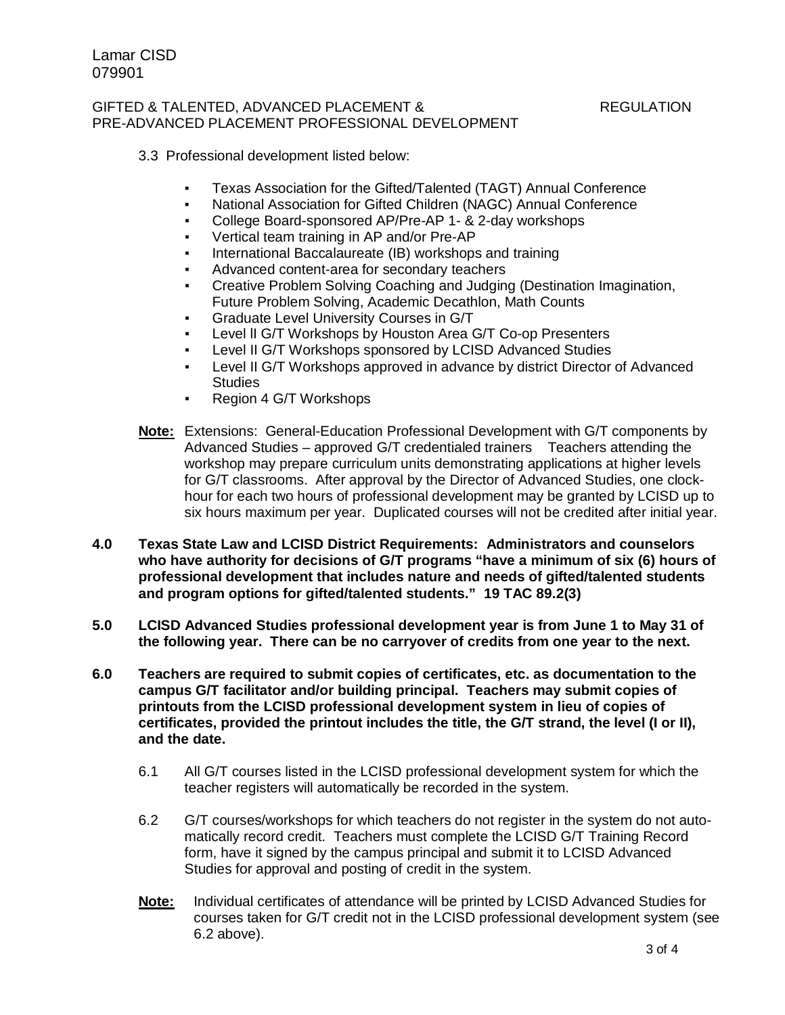## 3.3 Professional development listed below:

- Texas Association for the Gifted/Talented (TAGT) Annual Conference
- National Association for Gifted Children (NAGC) Annual Conference
- College Board-sponsored AP/Pre-AP 1- & 2-day workshops
- Vertical team training in AP and/or Pre-AP
- International Baccalaureate (IB) workshops and training
- Advanced content-area for secondary teachers
- Creative Problem Solving Coaching and Judging (Destination Imagination, Future Problem Solving, Academic Decathlon, Math Counts
- **Graduate Level University Courses in G/T**
- Level II G/T Workshops by Houston Area G/T Co-op Presenters
- Level II G/T Workshops sponsored by LCISD Advanced Studies
- Level II G/T Workshops approved in advance by district Director of Advanced **Studies**
- Region 4 G/T Workshops
- **Note:** Extensions: General-Education Professional Development with G/T components by Advanced Studies – approved G/T credentialed trainers Teachers attending the workshop may prepare curriculum units demonstrating applications at higher levels for G/T classrooms. After approval by the Director of Advanced Studies, one clockhour for each two hours of professional development may be granted by LCISD up to six hours maximum per year. Duplicated courses will not be credited after initial year.
- **4.0 Texas State Law and LCISD District Requirements: Administrators and counselors who have authority for decisions of G/T programs "have a minimum of six (6) hours of professional development that includes nature and needs of gifted/talented students and program options for gifted/talented students." 19 TAC 89.2(3)**
- **5.0 LCISD Advanced Studies professional development year is from June 1 to May 31 of the following year. There can be no carryover of credits from one year to the next.**
- **6.0 Teachers are required to submit copies of certificates, etc. as documentation to the campus G/T facilitator and/or building principal. Teachers may submit copies of printouts from the LCISD professional development system in lieu of copies of certificates, provided the printout includes the title, the G/T strand, the level (I or II), and the date.**
	- 6.1 All G/T courses listed in the LCISD professional development system for which the teacher registers will automatically be recorded in the system.
	- 6.2 G/T courses/workshops for which teachers do not register in the system do not automatically record credit. Teachers must complete the LCISD G/T Training Record form, have it signed by the campus principal and submit it to LCISD Advanced Studies for approval and posting of credit in the system.
	- **Note:** Individual certificates of attendance will be printed by LCISD Advanced Studies for courses taken for G/T credit not in the LCISD professional development system (see 6.2 above).